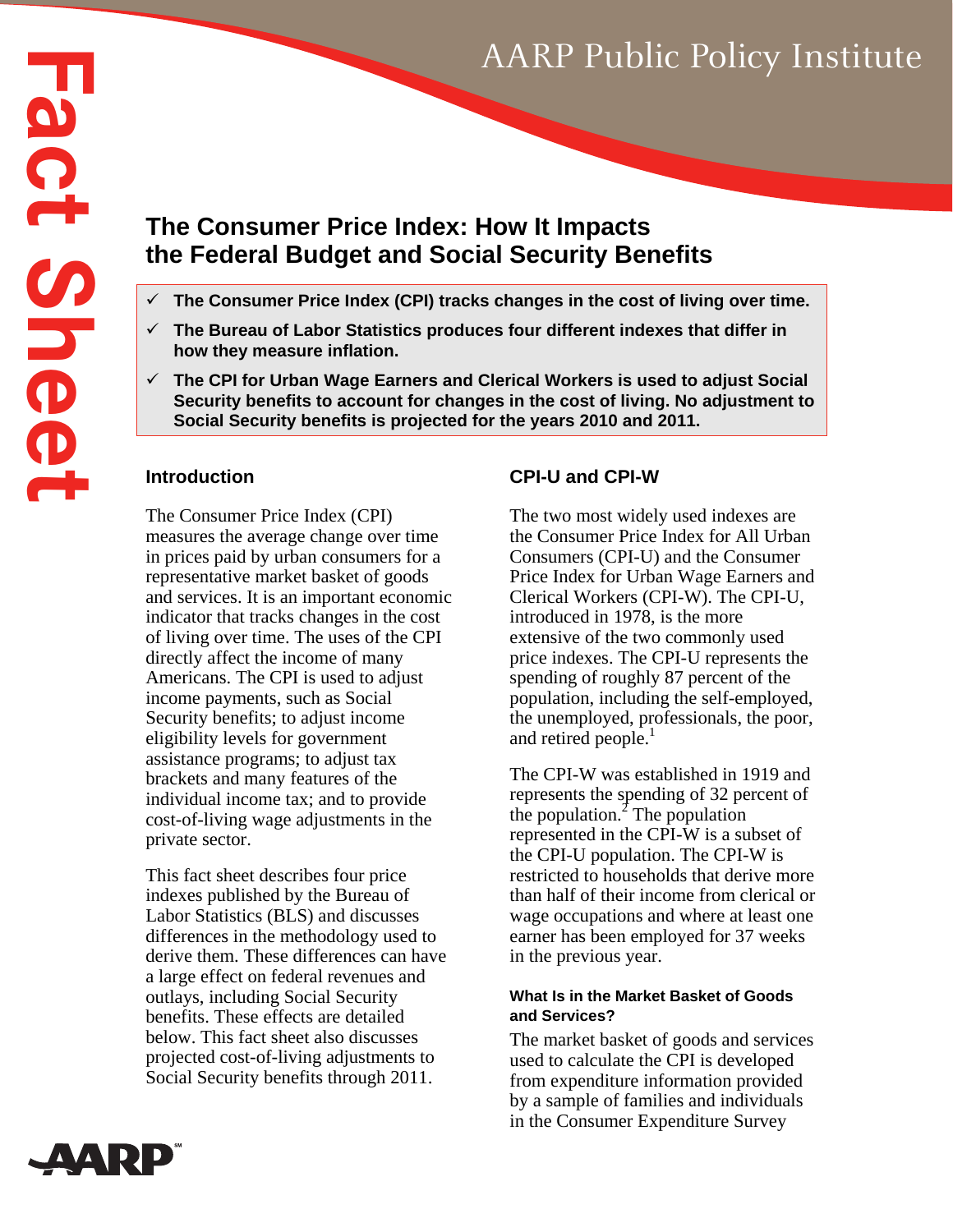# AARP Public Policy Institute

# **Fact Sheet Fact Shee The Consumer Price Index: How It Impacts the Federal Budget and Social Security Benefits**

- **The Consumer Price Index (CPI) tracks changes in the cost of living over time.**
- **The Bureau of Labor Statistics produces four different indexes that differ in how they measure inflation.**
- **The CPI for Urban Wage Earners and Clerical Workers is used to adjust Social Security benefits to account for changes in the cost of living. No adjustment to Social Security benefits is projected for the years 2010 and 2011.**

### **Introduction**

The Consumer Price Index (CPI) measures the average change over time in prices paid by urban consumers for a representative market basket of goods and services. It is an important economic indicator that tracks changes in the cost of living over time. The uses of the CPI directly affect the income of many Americans. The CPI is used to adjust income payments, such as Social Security benefits; to adjust income eligibility levels for government assistance programs; to adjust tax brackets and many features of the individual income tax; and to provide cost-of-living wage adjustments in the private sector.

This fact sheet describes four price indexes published by the Bureau of Labor Statistics (BLS) and discusses differences in the methodology used to derive them. These differences can have a large effect on federal revenues and outlays, including Social Security benefits. These effects are detailed below. This fact sheet also discusses projected cost-of-living adjustments to Social Security benefits through 2011.

# **CPI-U and CPI-W**

The two most widely used indexes are the Consumer Price Index for All Urban Consumers (CPI-U) and the Consumer Price Index for Urban Wage Earners and Clerical Workers (CPI-W). The CPI-U, introduced in 1978, is the more extensive of the two commonly used price indexes. The CPI-U represents the spending of roughly 87 percent of the population, including the self-employed, the unemployed, professionals, the poor, and retired people.<sup>1</sup>

The CPI-W was established in 1919 and represents the spending of 32 percent of the population.<sup> $2$ </sup> The population represented in the CPI-W is a subset of the CPI-U population. The CPI-W is restricted to households that derive more than half of their income from clerical or wage occupations and where at least one earner has been employed for 37 weeks in the previous year.

#### **What Is in the Market Basket of Goods and Services?**

The market basket of goods and services used to calculate the CPI is developed from expenditure information provided by a sample of families and individuals in the Consumer Expenditure Survey

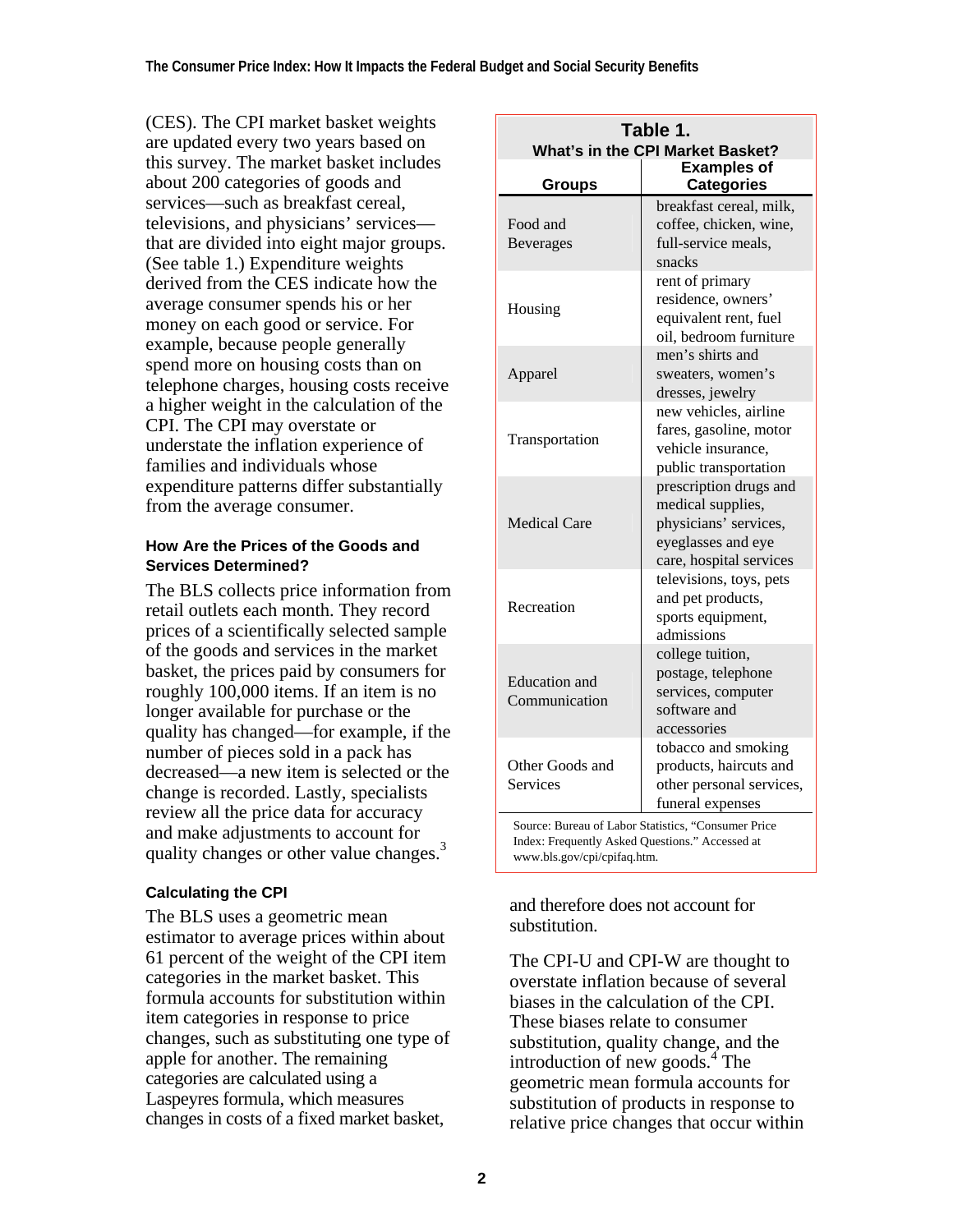(CES). The CPI market basket weights are updated every two years based on this survey. The market basket includes about 200 categories of goods and services—such as breakfast cereal, televisions, and physicians' services that are divided into eight major groups. (See table 1.) Expenditure weights derived from the CES indicate how the average consumer spends his or her money on each good or service. For example, because people generally spend more on housing costs than on telephone charges, housing costs receive a higher weight in the calculation of the CPI. The CPI may overstate or understate the inflation experience of families and individuals whose expenditure patterns differ substantially from the average consumer.

#### **How Are the Prices of the Goods and Services Determined?**

The BLS collects price information from retail outlets each month. They record prices of a scientifically selected sample of the goods and services in the market basket, the prices paid by consumers for roughly 100,000 items. If an item is no longer available for purchase or the quality has changed—for example, if the number of pieces sold in a pack has decreased—a new item is selected or the change is recorded. Lastly, specialists review all the price data for accuracy and make adjustments to account for quality changes or other value changes.<sup>3</sup>

## **Calculating the CPI**

The BLS uses a geometric mean estimator to average prices within about 61 percent of the weight of the CPI item categories in the market basket. This formula accounts for substitution within item categories in response to price changes, such as substituting one type of apple for another. The remaining categories are calculated using a Laspeyres formula, which measures changes in costs of a fixed market basket,

| Table 1.<br>What's in the CPI Market Basket?                                                                                          |                                                                                                                       |  |  |  |  |  |  |  |
|---------------------------------------------------------------------------------------------------------------------------------------|-----------------------------------------------------------------------------------------------------------------------|--|--|--|--|--|--|--|
| Groups                                                                                                                                | <b>Examples of</b><br><b>Categories</b>                                                                               |  |  |  |  |  |  |  |
| Food and<br><b>Beverages</b>                                                                                                          | breakfast cereal, milk,<br>coffee, chicken, wine,<br>full-service meals.<br>snacks                                    |  |  |  |  |  |  |  |
| Housing                                                                                                                               | rent of primary<br>residence, owners'<br>equivalent rent, fuel<br>oil, bedroom furniture                              |  |  |  |  |  |  |  |
| Apparel                                                                                                                               | men's shirts and<br>sweaters, women's<br>dresses, jewelry                                                             |  |  |  |  |  |  |  |
| Transportation                                                                                                                        | new vehicles, airline<br>fares, gasoline, motor<br>vehicle insurance,<br>public transportation                        |  |  |  |  |  |  |  |
| <b>Medical Care</b>                                                                                                                   | prescription drugs and<br>medical supplies,<br>physicians' services,<br>eyeglasses and eye<br>care, hospital services |  |  |  |  |  |  |  |
| Recreation                                                                                                                            | televisions, toys, pets<br>and pet products,<br>sports equipment,<br>admissions                                       |  |  |  |  |  |  |  |
| <b>Education</b> and<br>Communication                                                                                                 | college tuition,<br>postage, telephone<br>services, computer<br>software and<br>accessories                           |  |  |  |  |  |  |  |
| Other Goods and<br>Services                                                                                                           | tobacco and smoking<br>products, haircuts and<br>other personal services,<br>funeral expenses                         |  |  |  |  |  |  |  |
| Source: Bureau of Labor Statistics, "Consumer Price<br>Index: Frequently Asked Questions." Accessed at<br>www.bls.gov/cpi/cpifaq.htm. |                                                                                                                       |  |  |  |  |  |  |  |

and therefore does not account for substitution.

The CPI-U and CPI-W are thought to overstate inflation because of several biases in the calculation of the CPI. These biases relate to consumer substitution, quality change, and the introduction of new goods. $4$  The geometric mean formula accounts for substitution of products in response to relative price changes that occur within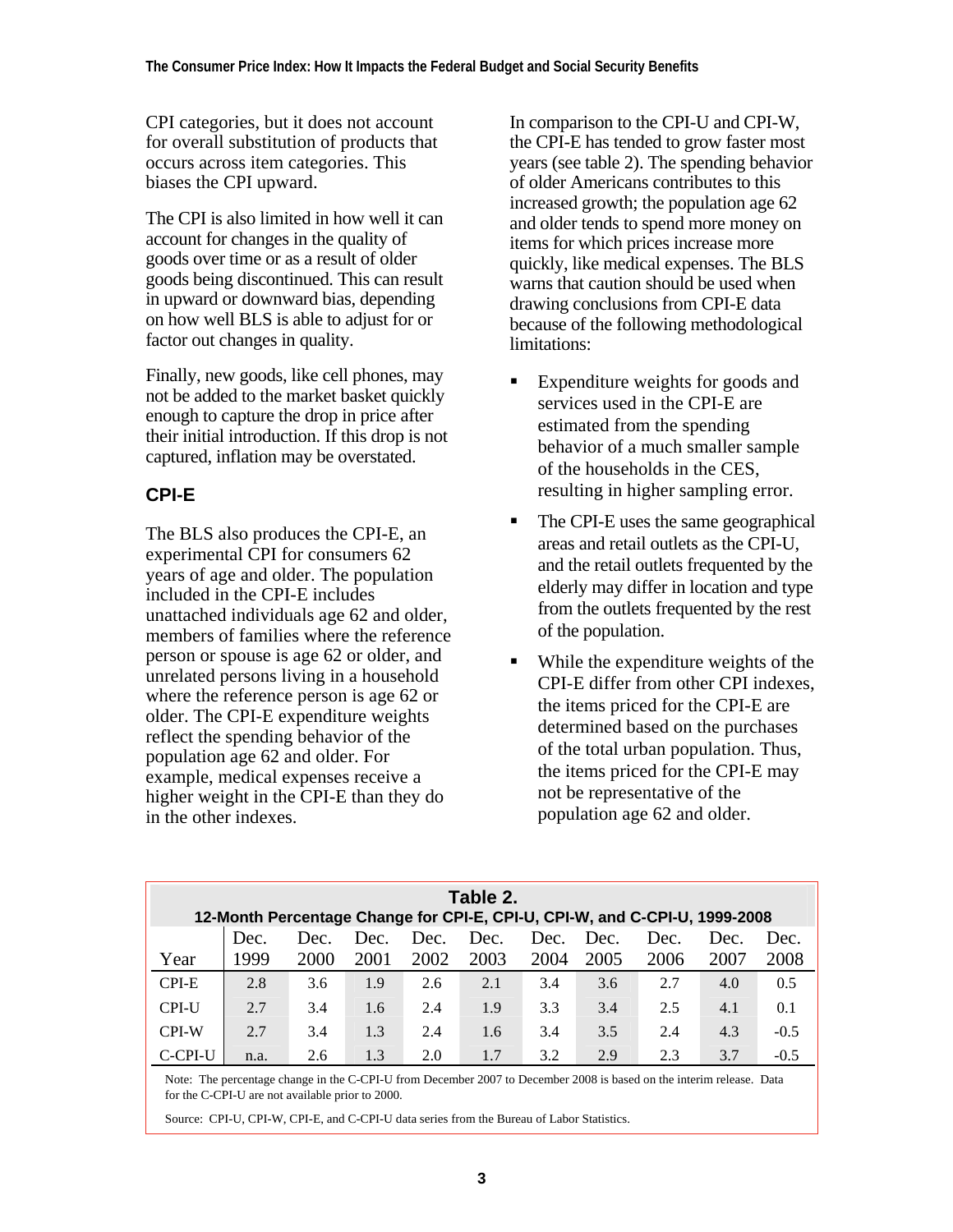CPI categories, but it does not account for overall substitution of products that occurs across item categories. This biases the CPI upward.

The CPI is also limited in how well it can account for changes in the quality of goods over time or as a result of older goods being discontinued. This can result in upward or downward bias, depending on how well BLS is able to adjust for or factor out changes in quality.

Finally, new goods, like cell phones, may not be added to the market basket quickly enough to capture the drop in price after their initial introduction. If this drop is not captured, inflation may be overstated.

# **CPI-E**

The BLS also produces the CPI-E, an experimental CPI for consumers 62 years of age and older. The population included in the CPI-E includes unattached individuals age 62 and older, members of families where the reference person or spouse is age 62 or older, and unrelated persons living in a household where the reference person is age 62 or older. The CPI-E expenditure weights reflect the spending behavior of the population age 62 and older. For example, medical expenses receive a higher weight in the CPI-E than they do in the other indexes.

In comparison to the CPI-U and CPI-W, the CPI-E has tended to grow faster most years (see table 2). The spending behavior of older Americans contributes to this increased growth; the population age 62 and older tends to spend more money on items for which prices increase more quickly, like medical expenses. The BLS warns that caution should be used when drawing conclusions from CPI-E data because of the following methodological limitations:

- Expenditure weights for goods and services used in the CPI-E are estimated from the spending behavior of a much smaller sample of the households in the CES, resulting in higher sampling error.
- The CPI-E uses the same geographical areas and retail outlets as the CPI-U, and the retail outlets frequented by the elderly may differ in location and type from the outlets frequented by the rest of the population.
- While the expenditure weights of the CPI-E differ from other CPI indexes, the items priced for the CPI-E are determined based on the purchases of the total urban population. Thus, the items priced for the CPI-E may not be representative of the population age 62 and older.

| Table 2.<br>12-Month Percentage Change for CPI-E, CPI-U, CPI-W, and C-CPI-U, 1999-2008 |      |      |      |      |      |      |      |      |      |        |  |
|----------------------------------------------------------------------------------------|------|------|------|------|------|------|------|------|------|--------|--|
|                                                                                        | Dec. | Dec. | Dec. | Dec. | Dec. | Dec. | Dec. | Dec. | Dec. | Dec.   |  |
| Year                                                                                   | 1999 | 2000 | 2001 | 2002 | 2003 | 2004 | 2005 | 2006 | 2007 | 2008   |  |
| CPI-E                                                                                  | 2.8  | 3.6  | 1.9  | 2.6  | 2.1  | 3.4  | 3.6  | 2.7  | 4.0  | 0.5    |  |
| <b>CPI-U</b>                                                                           | 2.7  | 3.4  | 1.6  | 2.4  | 1.9  | 3.3  | 3.4  | 2.5  | 4.1  | 0.1    |  |
| <b>CPI-W</b>                                                                           | 2.7  | 3.4  | 1.3  | 2.4  | 1.6  | 3.4  | 3.5  | 2.4  | 4.3  | $-0.5$ |  |
| C-CPI-U                                                                                | n.a. | 2.6  | 1.3  | 2.0  | 1.7  | 3.2  | 2.9  | 2.3  | 3.7  |        |  |

Note: The percentage change in the C-CPI-U from December 2007 to December 2008 is based on the interim release. Data for the C-CPI-U are not available prior to 2000.

Source: CPI-U, CPI-W, CPI-E, and C-CPI-U data series from the Bureau of Labor Statistics.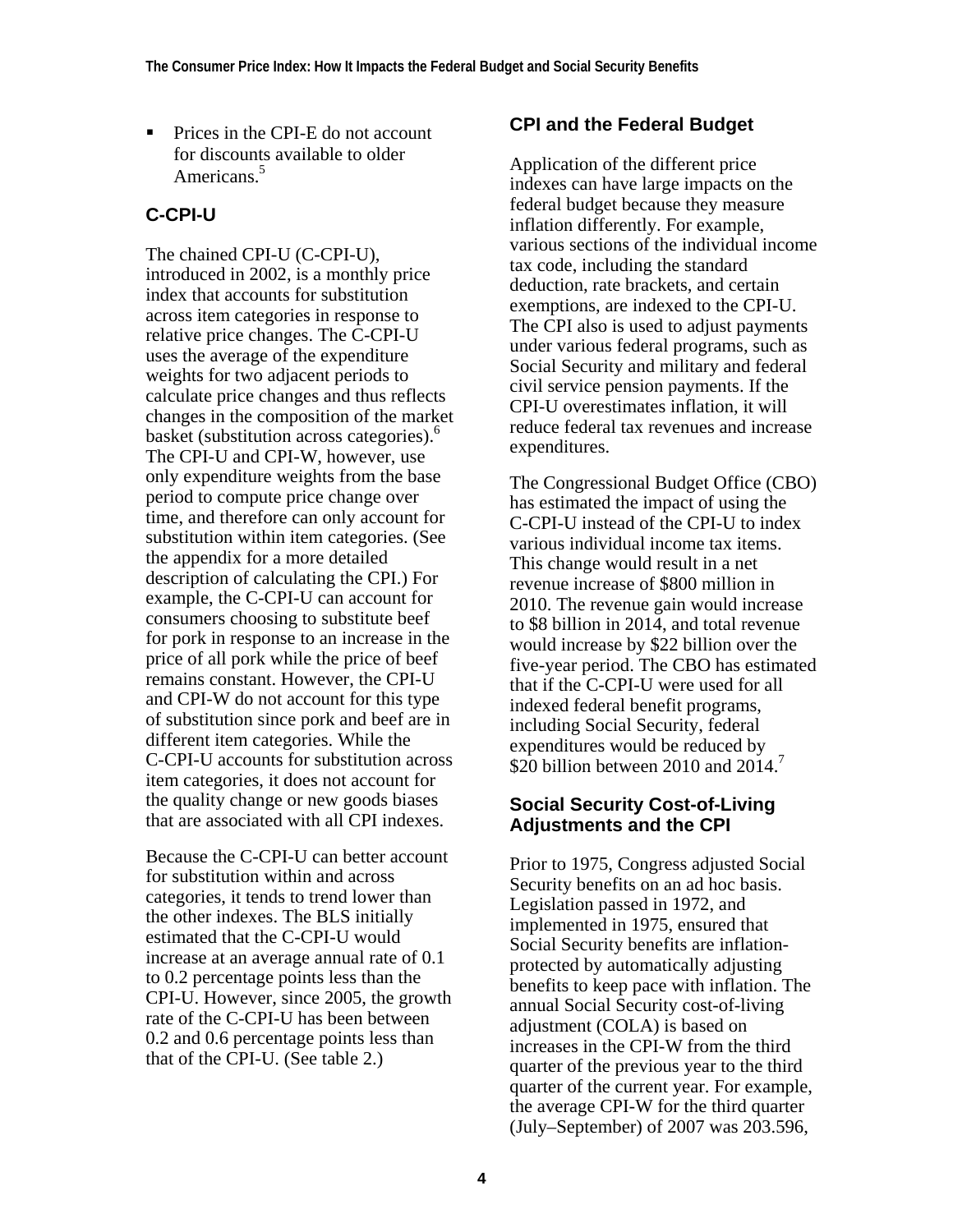■ Prices in the CPI-E do not account for discounts available to older Americans<sup>5</sup>

# **C-CPI-U**

The chained CPI-U (C-CPI-U), introduced in 2002, is a monthly price index that accounts for substitution across item categories in response to relative price changes. The C-CPI-U uses the average of the expenditure weights for two adjacent periods to calculate price changes and thus reflects changes in the composition of the market basket (substitution across categories).<sup>6</sup> The CPI-U and CPI-W, however, use only expenditure weights from the base period to compute price change over time, and therefore can only account for substitution within item categories. (See the appendix for a more detailed description of calculating the CPI.) For example, the C-CPI-U can account for consumers choosing to substitute beef for pork in response to an increase in the price of all pork while the price of beef remains constant. However, the CPI-U and CPI-W do not account for this type of substitution since pork and beef are in different item categories. While the C-CPI-U accounts for substitution across item categories, it does not account for the quality change or new goods biases that are associated with all CPI indexes.

Because the C-CPI-U can better account for substitution within and across categories, it tends to trend lower than the other indexes. The BLS initially estimated that the C-CPI-U would increase at an average annual rate of 0.1 to 0.2 percentage points less than the CPI-U. However, since 2005, the growth rate of the C-CPI-U has been between 0.2 and 0.6 percentage points less than that of the CPI-U. (See table 2.)

# **CPI and the Federal Budget**

Application of the different price indexes can have large impacts on the federal budget because they measure inflation differently. For example, various sections of the individual income tax code, including the standard deduction, rate brackets, and certain exemptions, are indexed to the CPI-U. The CPI also is used to adjust payments under various federal programs, such as Social Security and military and federal civil service pension payments. If the CPI-U overestimates inflation, it will reduce federal tax revenues and increase expenditures.

The Congressional Budget Office (CBO) has estimated the impact of using the C-CPI-U instead of the CPI-U to index various individual income tax items. This change would result in a net revenue increase of \$800 million in 2010. The revenue gain would increase to \$8 billion in 2014, and total revenue would increase by \$22 billion over the five-year period. The CBO has estimated that if the C-CPI-U were used for all indexed federal benefit programs, including Social Security, federal expenditures would be reduced by \$20 billion between 2010 and 2014.<sup>7</sup>

# **Social Security Cost-of-Living Adjustments and the CPI**

Prior to 1975, Congress adjusted Social Security benefits on an ad hoc basis. Legislation passed in 1972, and implemented in 1975, ensured that Social Security benefits are inflationprotected by automatically adjusting benefits to keep pace with inflation. The annual Social Security cost-of-living adjustment (COLA) is based on increases in the CPI-W from the third quarter of the previous year to the third quarter of the current year. For example, the average CPI-W for the third quarter (July–September) of 2007 was 203.596,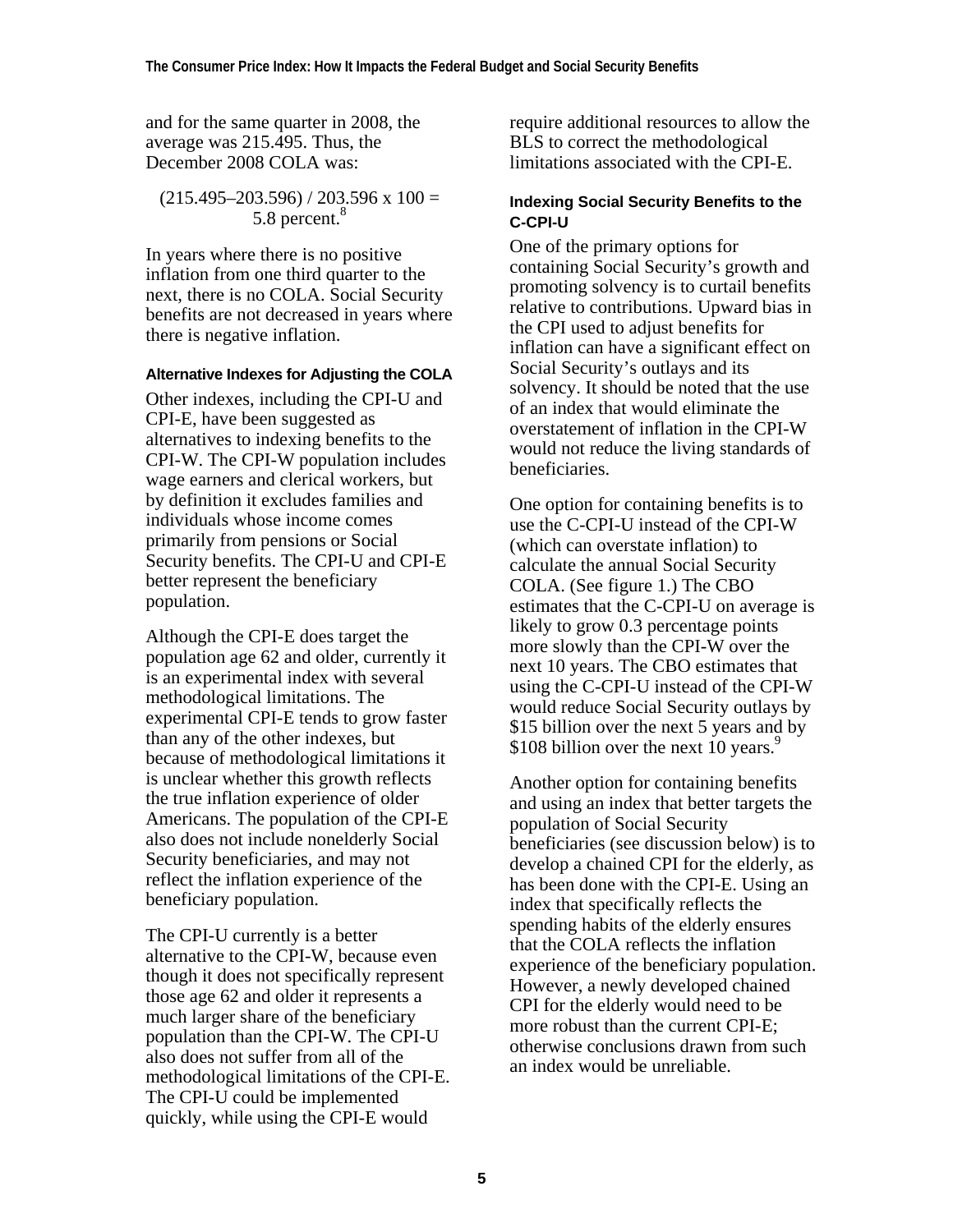and for the same quarter in 2008, the average was 215.495. Thus, the December 2008 COLA was:

$$
(215.495-203.596) / 203.596 \times 100 = 5.8 \text{ percent.}^{8}
$$

In years where there is no positive inflation from one third quarter to the next, there is no COLA. Social Security benefits are not decreased in years where there is negative inflation.

#### **Alternative Indexes for Adjusting the COLA**

Other indexes, including the CPI-U and CPI-E, have been suggested as alternatives to indexing benefits to the CPI-W. The CPI-W population includes wage earners and clerical workers, but by definition it excludes families and individuals whose income comes primarily from pensions or Social Security benefits. The CPI-U and CPI-E better represent the beneficiary population.

Although the CPI-E does target the population age 62 and older, currently it is an experimental index with several methodological limitations. The experimental CPI-E tends to grow faster than any of the other indexes, but because of methodological limitations it is unclear whether this growth reflects the true inflation experience of older Americans. The population of the CPI-E also does not include nonelderly Social Security beneficiaries, and may not reflect the inflation experience of the beneficiary population.

The CPI-U currently is a better alternative to the CPI-W, because even though it does not specifically represent those age 62 and older it represents a much larger share of the beneficiary population than the CPI-W. The CPI-U also does not suffer from all of the methodological limitations of the CPI-E. The CPI-U could be implemented quickly, while using the CPI-E would

require additional resources to allow the BLS to correct the methodological limitations associated with the CPI-E.

#### **Indexing Social Security Benefits to the C-CPI-U**

One of the primary options for containing Social Security's growth and promoting solvency is to curtail benefits relative to contributions. Upward bias in the CPI used to adjust benefits for inflation can have a significant effect on Social Security's outlays and its solvency. It should be noted that the use of an index that would eliminate the overstatement of inflation in the CPI-W would not reduce the living standards of beneficiaries.

One option for containing benefits is to use the C-CPI-U instead of the CPI-W (which can overstate inflation) to calculate the annual Social Security COLA. (See figure 1.) The CBO estimates that the C-CPI-U on average is likely to grow 0.3 percentage points more slowly than the CPI-W over the next 10 years. The CBO estimates that using the C-CPI-U instead of the CPI-W would reduce Social Security outlays by \$15 billion over the next 5 years and by \$108 billion over the next 10 years.<sup>9</sup>

Another option for containing benefits and using an index that better targets the population of Social Security beneficiaries (see discussion below) is to develop a chained CPI for the elderly, as has been done with the CPI-E. Using an index that specifically reflects the spending habits of the elderly ensures that the COLA reflects the inflation experience of the beneficiary population. However, a newly developed chained CPI for the elderly would need to be more robust than the current CPI-E; otherwise conclusions drawn from such an index would be unreliable.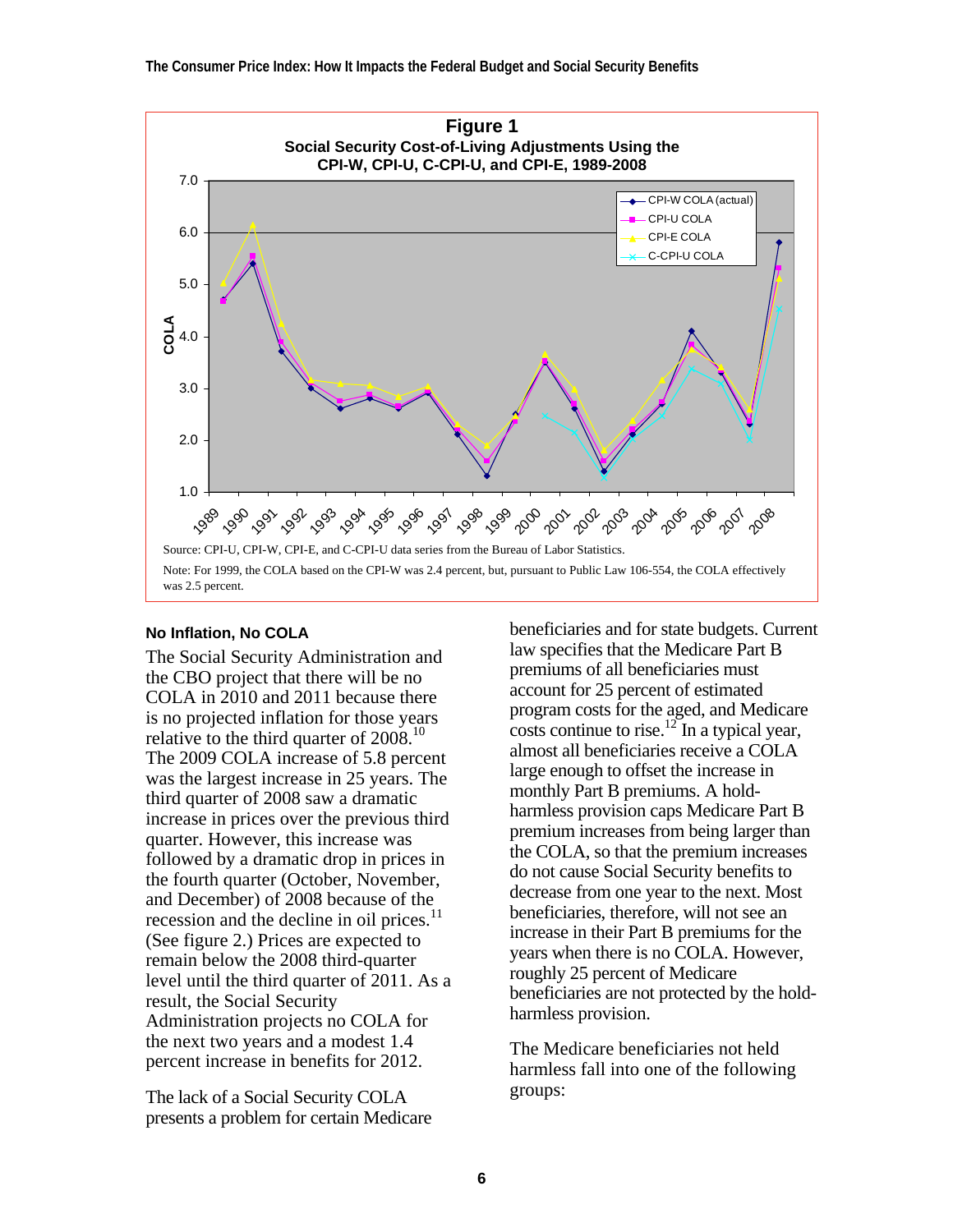

#### **No Inflation, No COLA**

The Social Security Administration and the CBO project that there will be no COLA in 2010 and 2011 because there is no projected inflation for those years relative to the third quarter of  $2008$ <sup>10</sup> The 2009 COLA increase of 5.8 percent was the largest increase in 25 years. The third quarter of 2008 saw a dramatic increase in prices over the previous third quarter. However, this increase was followed by a dramatic drop in prices in the fourth quarter (October, November, and December) of 2008 because of the recession and the decline in oil prices.<sup>11</sup> (See figure 2.) Prices are expected to remain below the 2008 third-quarter level until the third quarter of 2011. As a result, the Social Security Administration projects no COLA for the next two years and a modest 1.4 percent increase in benefits for 2012.

The lack of a Social Security COLA presents a problem for certain Medicare

beneficiaries and for state budgets. Current law specifies that the Medicare Part B premiums of all beneficiaries must account for 25 percent of estimated program costs for the aged, and Medicare costs continue to rise.<sup>12</sup> In a typical year, almost all beneficiaries receive a COLA large enough to offset the increase in monthly Part B premiums. A holdharmless provision caps Medicare Part B premium increases from being larger than the COLA, so that the premium increases do not cause Social Security benefits to decrease from one year to the next. Most beneficiaries, therefore, will not see an increase in their Part B premiums for the years when there is no COLA. However, roughly 25 percent of Medicare beneficiaries are not protected by the holdharmless provision.

The Medicare beneficiaries not held harmless fall into one of the following groups: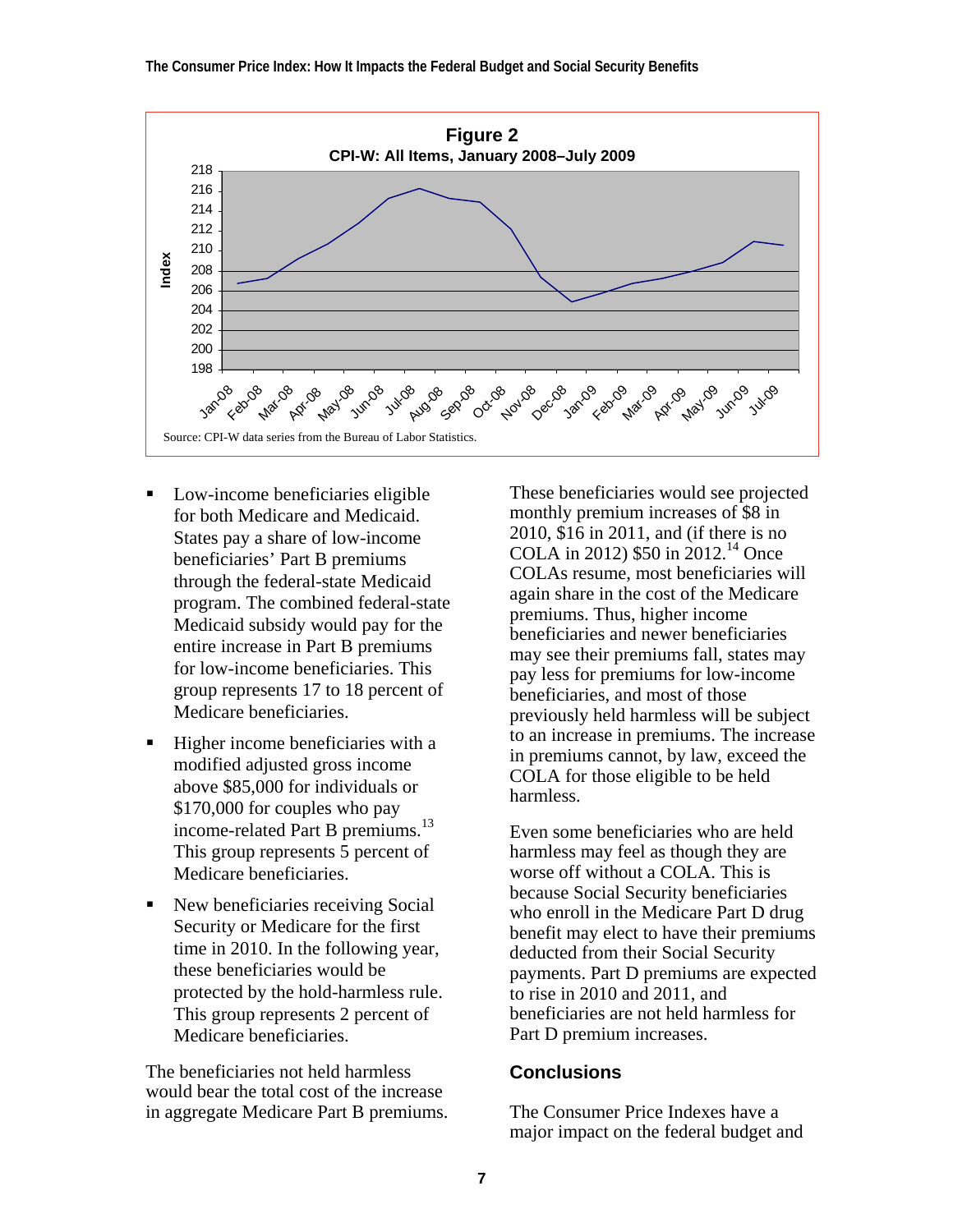**The Consumer Price Index: How It Impacts the Federal Budget and Social Security Benefits** 



- Low-income beneficiaries eligible for both Medicare and Medicaid. States pay a share of low-income beneficiaries' Part B premiums through the federal-state Medicaid program. The combined federal-state Medicaid subsidy would pay for the entire increase in Part B premiums for low-income beneficiaries. This group represents 17 to 18 percent of Medicare beneficiaries.
- Higher income beneficiaries with a modified adjusted gross income above \$85,000 for individuals or \$170,000 for couples who pay income-related Part B premiums.<sup>13</sup> This group represents 5 percent of Medicare beneficiaries.
- New beneficiaries receiving Social Security or Medicare for the first time in 2010. In the following year, these beneficiaries would be protected by the hold-harmless rule. This group represents 2 percent of Medicare beneficiaries.

The beneficiaries not held harmless would bear the total cost of the increase in aggregate Medicare Part B premiums.

These beneficiaries would see projected monthly premium increases of \$8 in 2010, \$16 in 2011, and (if there is no COLA in 2012)  $$50$  in 2012.<sup>14</sup> Once COLAs resume, most beneficiaries will again share in the cost of the Medicare premiums. Thus, higher income beneficiaries and newer beneficiaries may see their premiums fall, states may pay less for premiums for low-income beneficiaries, and most of those previously held harmless will be subject to an increase in premiums. The increase in premiums cannot, by law, exceed the COLA for those eligible to be held harmless.

Even some beneficiaries who are held harmless may feel as though they are worse off without a COLA. This is because Social Security beneficiaries who enroll in the Medicare Part D drug benefit may elect to have their premiums deducted from their Social Security payments. Part D premiums are expected to rise in 2010 and 2011, and beneficiaries are not held harmless for Part D premium increases.

#### **Conclusions**

The Consumer Price Indexes have a major impact on the federal budget and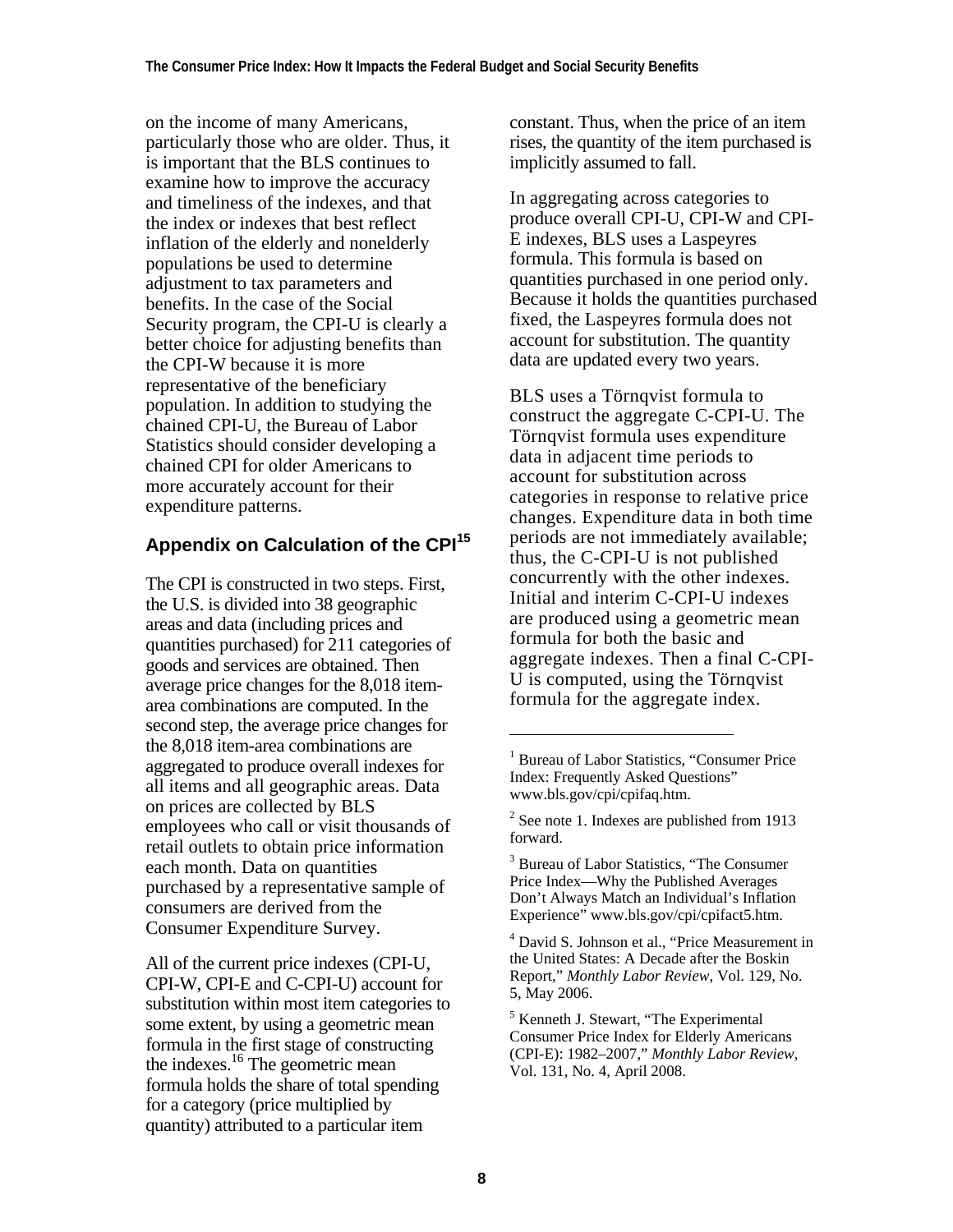on the income of many Americans, particularly those who are older. Thus, it is important that the BLS continues to examine how to improve the accuracy and timeliness of the indexes, and that the index or indexes that best reflect inflation of the elderly and nonelderly populations be used to determine adjustment to tax parameters and benefits. In the case of the Social Security program, the CPI-U is clearly a better choice for adjusting benefits than the CPI-W because it is more representative of the beneficiary population. In addition to studying the chained CPI-U, the Bureau of Labor Statistics should consider developing a chained CPI for older Americans to more accurately account for their expenditure patterns.

# **Appendix on Calculation of the CPI<sup>15</sup>**

The CPI is constructed in two steps. First, the U.S. is divided into 38 geographic areas and data (including prices and quantities purchased) for 211 categories of goods and services are obtained. Then average price changes for the 8,018 itemarea combinations are computed. In the second step, the average price changes for the 8,018 item-area combinations are aggregated to produce overall indexes for all items and all geographic areas. Data on prices are collected by BLS employees who call or visit thousands of retail outlets to obtain price information each month. Data on quantities purchased by a representative sample of consumers are derived from the Consumer Expenditure Survey.

All of the current price indexes (CPI-U, CPI-W, CPI-E and C-CPI-U) account for substitution within most item categories to some extent, by using a geometric mean formula in the first stage of constructing the indexes.<sup>16</sup> The geometric mean formula holds the share of total spending for a category (price multiplied by quantity) attributed to a particular item

constant. Thus, when the price of an item rises, the quantity of the item purchased is implicitly assumed to fall.

In aggregating across categories to produce overall CPI-U, CPI-W and CPI-E indexes, BLS uses a Laspeyres formula. This formula is based on quantities purchased in one period only. Because it holds the quantities purchased fixed, the Laspeyres formula does not account for substitution. The quantity data are updated every two years.

BLS uses a Törnqvist formula to construct the aggregate C-CPI-U. The Törnqvist formula uses expenditure data in adjacent time periods to account for substitution across categories in response to relative price changes. Expenditure data in both time periods are not immediately available; thus, the C-CPI-U is not published concurrently with the other indexes. Initial and interim C-CPI-U indexes are produced using a geometric mean formula for both the basic and aggregate indexes. Then a final C-CPI-U is computed, using the Törnqvist formula for the aggregate index.

4 David S. Johnson et al., "Price Measurement in the United States: A Decade after the Boskin Report," *Monthly Labor Review*, Vol. 129, No. 5, May 2006.

l

<sup>&</sup>lt;sup>1</sup> Bureau of Labor Statistics, "Consumer Price Index: Frequently Asked Questions" www.bls.gov/cpi/cpifaq.htm.

<sup>&</sup>lt;sup>2</sup> See note 1. Indexes are published from 1913 forward.

<sup>&</sup>lt;sup>3</sup> Bureau of Labor Statistics, "The Consumer Price Index—Why the Published Averages Don't Always Match an Individual's Inflation Experience" www.bls.gov/cpi/cpifact5.htm.

<sup>5</sup> Kenneth J. Stewart, "The Experimental Consumer Price Index for Elderly Americans (CPI-E): 1982–2007," *Monthly Labor Review*, Vol. 131, No. 4, April 2008.